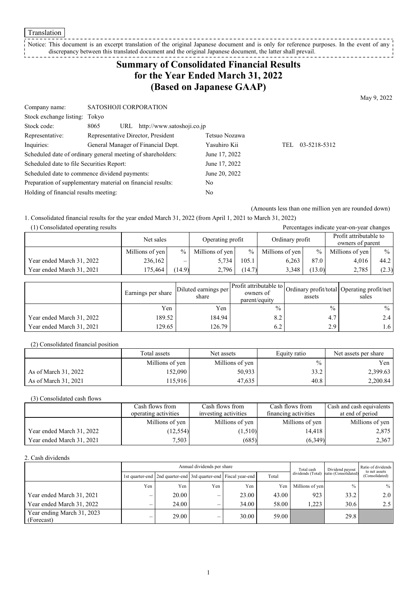**Translation** 

#### Notice: This document is an excerpt translation of the original Japanese document and is only for reference purposes. In the event of any discrepancy between this translated document and the original Japanese document, the latter shall prevail. --------------

# **Summary of Consolidated Financial Results for the Year Ended March 31, 2022 (Based on Japanese GAAP)**

May 9, 2022

| Company name:                                               | SATOSHOJI CORPORATION              |                                |               |     |              |
|-------------------------------------------------------------|------------------------------------|--------------------------------|---------------|-----|--------------|
| Stock exchange listing: Tokyo                               |                                    |                                |               |     |              |
| Stock code:                                                 | 8065                               | URL http://www.satoshoji.co.jp |               |     |              |
| Representative:                                             | Representative Director, President |                                | Tetsuo Nozawa |     |              |
| Inquiries:                                                  | General Manager of Financial Dept. |                                | Yasuhiro Kii  | TEL | 03-5218-5312 |
| Scheduled date of ordinary general meeting of shareholders: |                                    |                                | June 17, 2022 |     |              |
| Scheduled date to file Securities Report:                   |                                    |                                | June 17, 2022 |     |              |
| Scheduled date to commence dividend payments:               |                                    |                                | June 20, 2022 |     |              |
| Preparation of supplementary material on financial results: |                                    |                                | No            |     |              |
| Holding of financial results meeting:                       |                                    |                                | No            |     |              |
|                                                             |                                    |                                |               |     |              |

(Amounts less than one million yen are rounded down)

1. Consolidated financial results for the year ended March 31, 2022 (from April 1, 2021 to March 31, 2022)

| (1) Consolidated operating results |                 |               |                  |                 |                 |        | Percentages indicate year-on-year changes  |               |
|------------------------------------|-----------------|---------------|------------------|-----------------|-----------------|--------|--------------------------------------------|---------------|
|                                    | Net sales       |               | Operating profit |                 | Ordinary profit |        | Profit attributable to<br>owners of parent |               |
|                                    | Millions of yen | $\frac{0}{2}$ | Millions of yen  | $\frac{0}{0}$ 1 | Millions of yen | $\%$   | Millions of yen                            | $\frac{0}{0}$ |
| Year ended March 31, 2022          | 236,162         | -             | 5.734            | 105.1           | 6.263           | 87.0   | 4,016                                      | 44.2          |
| Year ended March 31, 2021          | 175,464         | (14.9)        | 2,796            | (14.7)          | 3,348           | (13.0) | 2,785                                      | (2.3)         |

|                           | Earnings per share | Diluted earnings per<br>share | Profit attributable to Ordinary profit/total Operating profit/net '<br>owners of<br>parent/equity | assets        | sales |
|---------------------------|--------------------|-------------------------------|---------------------------------------------------------------------------------------------------|---------------|-------|
|                           | Yen                | Yen                           | $\frac{0}{0}$                                                                                     | $\frac{0}{0}$ | $\%$  |
| Year ended March 31, 2022 | 189.52             | 184.94                        | 8.2                                                                                               | 4.7           | 2.4   |
| Year ended March 31, 2021 | 129.65             | 126.79                        | 6.2                                                                                               | 2.9           | 1.6   |

(2) Consolidated financial position

|                      | Total assets    | Net assets      | Equity ratio  | Net assets per share |
|----------------------|-----------------|-----------------|---------------|----------------------|
|                      | Millions of yen | Millions of yen | $\frac{0}{0}$ | Yen                  |
| As of March 31, 2022 | 152.090         | 50.933          | 33.2          | 2,399.63             |
| As of March 31, 2021 | 115,916         | 47.635          | 40.8          | 2,200.84             |

(3) Consolidated cash flows

|                           | Cash flows from      | Cash flows from      | Cash flows from      | Cash and cash equivalents |
|---------------------------|----------------------|----------------------|----------------------|---------------------------|
|                           | operating activities | investing activities | financing activities | at end of period          |
|                           | Millions of yen      | Millions of yen      | Millions of yen      | Millions of yen           |
| Year ended March 31, 2022 | (12, 554)            | (1,510)              | 14.418               | 2,875                     |
| Year ended March 31, 2021 | 7.503                | (685)                | (6,349)              | 2,367                     |

2. Cash dividends

|                                          | Annual dividends per share |                                                                       |     |       |       | Total cash        | Dividend payout      | Ratio of dividends<br>to net assets |  |
|------------------------------------------|----------------------------|-----------------------------------------------------------------------|-----|-------|-------|-------------------|----------------------|-------------------------------------|--|
|                                          |                            | 1st quarter-end   2nd quarter-end   3rd quarter-end   Fiscal year-end |     |       | Total | dividends (Total) | ratio (Consolidated) | (Consolidated)                      |  |
|                                          | Yen                        | Yen                                                                   | Yen | Yen   | Yen   | Millions of yen   | $\frac{0}{0}$        | $%$                                 |  |
| Year ended March 31, 2021                |                            | 20.00                                                                 | –   | 23.00 | 43.00 | 923               | 33.2                 | 2.0                                 |  |
| Year ended March 31, 2022                |                            | 24.00                                                                 | –   | 34.00 | 58.00 | 1.223             | 30.6                 | 2.5                                 |  |
| Year ending March 31, 2023<br>(Forecast) |                            | 29.00                                                                 | –   | 30.00 | 59.00 |                   | 29.8                 |                                     |  |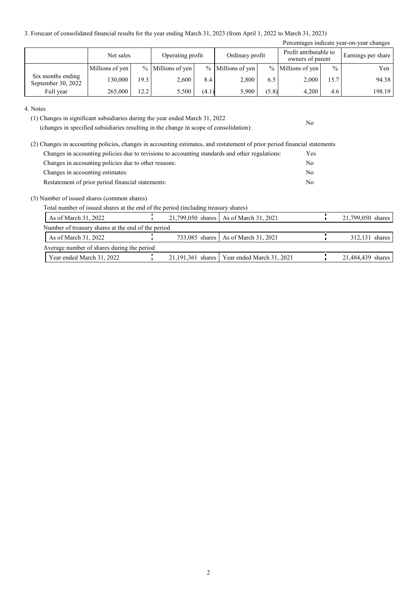3. Forecast of consolidated financial results for the year ending March 31, 2023 (from April 1, 2022 to March 31, 2023)

| Percentages indicate year-on-year changes |                 |      |                     |       |                   |       |                     |               |        |  |                                            |  |                    |
|-------------------------------------------|-----------------|------|---------------------|-------|-------------------|-------|---------------------|---------------|--------|--|--------------------------------------------|--|--------------------|
|                                           | Net sales       |      | Operating profit    |       |                   |       | Ordinary profit     |               |        |  | Profit attributable to<br>owners of parent |  | Earnings per share |
|                                           | Millions of yen |      | $%$ Millions of yen |       | % Millions of yen |       | $%$ Millions of yen | $\frac{0}{0}$ | Yen    |  |                                            |  |                    |
| Six months ending<br>September 30, 2022   | 130.000         | 19.3 | 2,600               | 8.4   | 2,800             | 6.5   | 2,000               | 15.7          | 94.38  |  |                                            |  |                    |
| Full year                                 | 265,000         | 12.2 | 5,500               | (4.1) | 5,900             | (5.8) | 4,200               | 4.6           | 198.19 |  |                                            |  |                    |

No

4. Notes

(1) Changes in significant subsidiaries during the year ended March 31, 2022

(changes in specified subsidiaries resulting in the change in scope of consolidation):

| (2) Changes in accounting policies, changes in accounting estimates, and restatement of prior period financial statements |            |
|---------------------------------------------------------------------------------------------------------------------------|------------|
| Changes in accounting policies due to revisions to accounting standards and other regulations:                            | <b>Yes</b> |
| Changes in accounting policies due to other reasons:                                                                      | No         |
| Changes in accounting estimates:                                                                                          | No         |
| Restatement of prior period financial statements:                                                                         | No         |

(3) Number of issued shares (common shares)

Total number of issued shares at the end of the period (including treasury shares)

| As of March 31, 2022                               |  | 21,799,050 shares   As of March 31, 2021      | 21,799,050 shares |
|----------------------------------------------------|--|-----------------------------------------------|-------------------|
| Number of treasury shares at the end of the period |  |                                               |                   |
| As of March $31, 2022$                             |  | 733,085 shares   As of March 31, 2021         | 312,131 shares    |
| Average number of shares during the period         |  |                                               |                   |
| Year ended March 31, 2022                          |  | 21,191,361 shares   Year ended March 31, 2021 | 21,484,439 shares |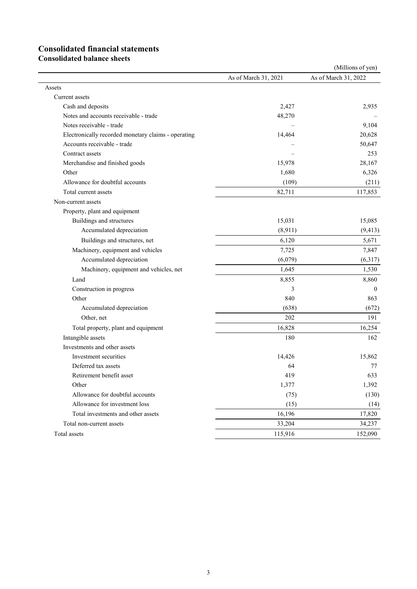# **Consolidated financial statements**

**Consolidated balance sheets**

|                                                     |                      | (Millions of yen)    |
|-----------------------------------------------------|----------------------|----------------------|
|                                                     | As of March 31, 2021 | As of March 31, 2022 |
| Assets                                              |                      |                      |
| Current assets                                      |                      |                      |
| Cash and deposits                                   | 2,427                | 2,935                |
| Notes and accounts receivable - trade               | 48,270               |                      |
| Notes receivable - trade                            |                      | 9,104                |
| Electronically recorded monetary claims - operating | 14,464               | 20,628               |
| Accounts receivable - trade                         |                      | 50,647               |
| Contract assets                                     |                      | 253                  |
| Merchandise and finished goods                      | 15,978               | 28,167               |
| Other                                               | 1,680                | 6,326                |
| Allowance for doubtful accounts                     | (109)                | (211)                |
| Total current assets                                | 82,711               | 117,853              |
| Non-current assets                                  |                      |                      |
| Property, plant and equipment                       |                      |                      |
| Buildings and structures                            | 15,031               | 15,085               |
| Accumulated depreciation                            | (8,911)              | (9, 413)             |
| Buildings and structures, net                       | 6,120                | 5,671                |
| Machinery, equipment and vehicles                   | 7,725                | 7,847                |
| Accumulated depreciation                            | (6,079)              | (6,317)              |
| Machinery, equipment and vehicles, net              | 1,645                | 1,530                |
| Land                                                | 8,855                | 8,860                |
| Construction in progress                            | 3                    | $\mathbf{0}$         |
| Other                                               | 840                  | 863                  |
| Accumulated depreciation                            | (638)                | (672)                |
| Other, net                                          | 202                  | 191                  |
| Total property, plant and equipment                 | 16,828               | 16,254               |
| Intangible assets                                   | 180                  | 162                  |
| Investments and other assets                        |                      |                      |
| Investment securities                               | 14,426               | 15,862               |
| Deferred tax assets                                 | 64                   | 77                   |
| Retirement benefit asset                            | 419                  | 633                  |
| Other                                               | 1,377                | 1,392                |
| Allowance for doubtful accounts                     | (75)                 | (130)                |
| Allowance for investment loss                       | (15)                 | (14)                 |
| Total investments and other assets                  | 16,196               | 17,820               |
| Total non-current assets                            | 33,204               | 34,237               |
| Total assets                                        | 115,916              | 152,090              |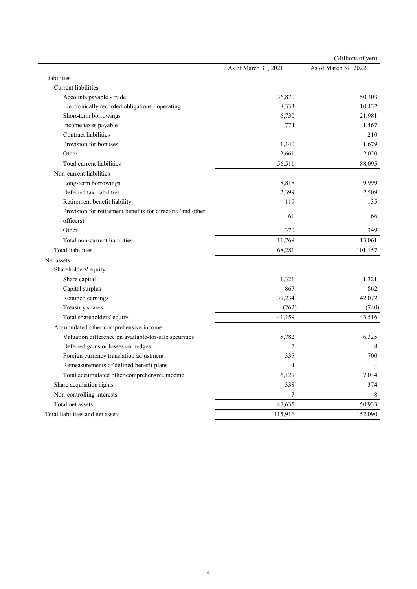|                                                            |                      | (Millions of yen)    |
|------------------------------------------------------------|----------------------|----------------------|
|                                                            | As of March 31, 2021 | As of March 31, 2022 |
| Liabilities                                                |                      |                      |
| Current liabilities                                        |                      |                      |
| Accounts payable - trade                                   | 36,870               | 50,303               |
| Electronically recorded obligations - operating            | 8,333                | 10,432               |
| Short-term borrowings                                      | 6,730                | 21,981               |
| Income taxes payable                                       | 774                  | 1,467                |
| <b>Contract liabilities</b>                                |                      | 210                  |
| Provision for bonuses                                      | 1,140                | 1,679                |
| Other                                                      | 2,661                | 2,020                |
| Total current liabilities                                  | 56,511               | 88,095               |
| Non-current liabilities                                    |                      |                      |
| Long-term borrowings                                       | 8,818                | 9,999                |
| Deferred tax liabilities                                   | 2,399                | 2,509                |
| Retirement benefit liability                               | 119                  | 135                  |
| Provision for retirement benefits for directors (and other |                      |                      |
| officers)                                                  | 61                   | 66                   |
| Other                                                      | 370                  | 349                  |
| Total non-current liabilities                              | 11,769               | 13,061               |
| <b>Total liabilities</b>                                   | 68,281               | 101,157              |
| Net assets                                                 |                      |                      |
| Shareholders' equity                                       |                      |                      |
| Share capital                                              | 1,321                | 1,321                |
| Capital surplus                                            | 867                  | 862                  |
| Retained earnings                                          | 39,234               | 42,072               |
| Treasury shares                                            | (262)                | (740)                |
| Total shareholders' equity                                 | 41,159               | 43,516               |
| Accumulated other comprehensive income                     |                      |                      |
| Valuation difference on available-for-sale securities      | 5,782                | 6,325                |
| Deferred gains or losses on hedges                         | 7                    | 8                    |
| Foreign currency translation adjustment                    | 335                  | 700                  |
| Remeasurements of defined benefit plans                    | 4                    |                      |
| Total accumulated other comprehensive income               | 6,129                | 7,034                |
| Share acquisition rights                                   | 338                  | 374                  |
| Non-controlling interests                                  | 7                    | 8                    |
| Total net assets                                           | 47,635               | 50,933               |
| Total liabilities and net assets                           | 115,916              | 152,090              |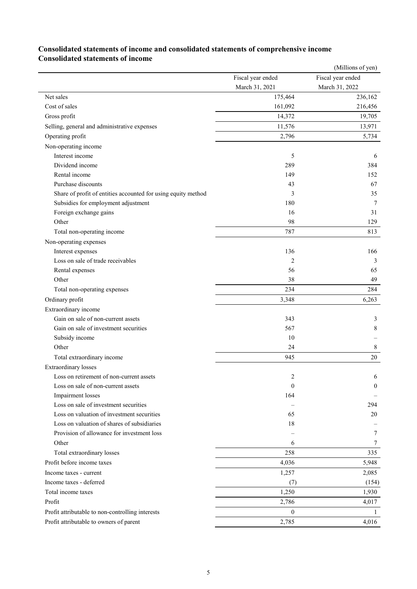### **Consolidated statements of income and consolidated statements of comprehensive income Consolidated statements of income**

|                                                               |                   | (Millions of yen) |
|---------------------------------------------------------------|-------------------|-------------------|
|                                                               | Fiscal year ended | Fiscal year ended |
|                                                               | March 31, 2021    | March 31, 2022    |
| Net sales                                                     | 175,464           | 236,162           |
| Cost of sales                                                 | 161,092           | 216,456           |
| Gross profit                                                  | 14,372            | 19,705            |
| Selling, general and administrative expenses                  | 11,576            | 13,971            |
| Operating profit                                              | 2,796             | 5,734             |
| Non-operating income                                          |                   |                   |
| Interest income                                               | 5                 | 6                 |
| Dividend income                                               | 289               | 384               |
| Rental income                                                 | 149               | 152               |
| Purchase discounts                                            | 43                | 67                |
| Share of profit of entities accounted for using equity method | 3                 | 35                |
| Subsidies for employment adjustment                           | 180               | 7                 |
| Foreign exchange gains                                        | 16                | 31                |
| Other                                                         | 98                | 129               |
| Total non-operating income                                    | 787               | 813               |
| Non-operating expenses                                        |                   |                   |
| Interest expenses                                             | 136               | 166               |
| Loss on sale of trade receivables                             | 2                 | 3                 |
| Rental expenses                                               | 56                | 65                |
| Other                                                         | 38                | 49                |
| Total non-operating expenses                                  | 234               | 284               |
| Ordinary profit                                               | 3,348             | 6,263             |
| Extraordinary income                                          |                   |                   |
| Gain on sale of non-current assets                            | 343               | 3                 |
| Gain on sale of investment securities                         | 567               | 8                 |
| Subsidy income                                                | 10                |                   |
| Other                                                         | 24                | 8                 |
| Total extraordinary income                                    | 945               | 20                |
| <b>Extraordinary</b> losses                                   |                   |                   |
| Loss on retirement of non-current assets                      | $\overline{c}$    | 6                 |
| Loss on sale of non-current assets                            | $\mathbf{0}$      | $\theta$          |
| Impairment losses                                             | 164               |                   |
| Loss on sale of investment securities                         |                   | 294               |
| Loss on valuation of investment securities                    | 65                | 20                |
| Loss on valuation of shares of subsidiaries                   | 18                |                   |
| Provision of allowance for investment loss                    |                   | 7                 |
| Other                                                         | 6                 | 7                 |
| Total extraordinary losses                                    | 258               | 335               |
| Profit before income taxes                                    | 4,036             | 5,948             |
| Income taxes - current                                        | 1,257             | 2,085             |
| Income taxes - deferred                                       | (7)               | (154)             |
| Total income taxes                                            | 1,250             | 1,930             |
| Profit                                                        | 2,786             | 4,017             |
| Profit attributable to non-controlling interests              | $\mathbf{0}$      | 1                 |
| Profit attributable to owners of parent                       | 2,785             | 4,016             |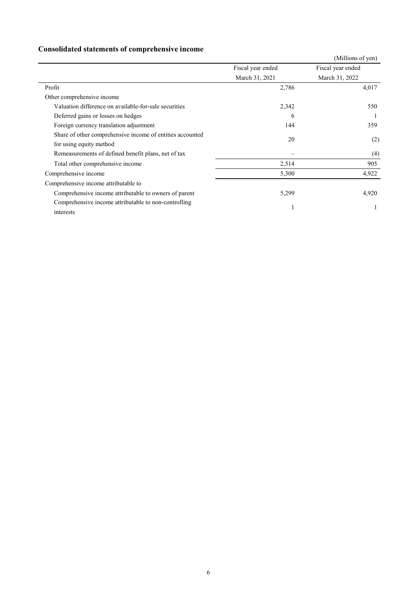## **Consolidated statements of comprehensive income**

|                                                           |                   | (Millions of yen) |
|-----------------------------------------------------------|-------------------|-------------------|
|                                                           | Fiscal year ended | Fiscal year ended |
|                                                           | March 31, 2021    | March 31, 2022    |
| Profit                                                    | 2,786             | 4,017             |
| Other comprehensive income                                |                   |                   |
| Valuation difference on available-for-sale securities     | 2,342             | 550               |
| Deferred gains or losses on hedges                        | 6                 |                   |
| Foreign currency translation adjustment                   | 144               | 359               |
| Share of other comprehensive income of entities accounted | 20                |                   |
| for using equity method                                   |                   | (2)               |
| Remeasurements of defined benefit plans, net of tax       |                   | (4)               |
| Total other comprehensive income                          | 2,514             | 905               |
| Comprehensive income                                      | 5,300             | 4,922             |
| Comprehensive income attributable to                      |                   |                   |
| Comprehensive income attributable to owners of parent     | 5,299             | 4,920             |
| Comprehensive income attributable to non-controlling      |                   |                   |
| interests                                                 |                   |                   |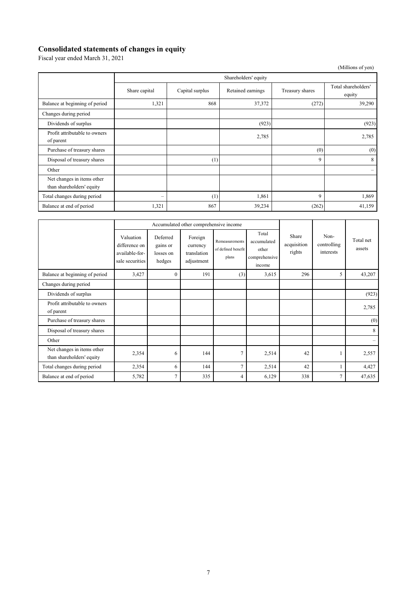### **Consolidated statements of changes in equity**

Fiscal year ended March 31, 2021

|                                                         |                          |                      |                   |                 | (Millions of yen)             |  |  |
|---------------------------------------------------------|--------------------------|----------------------|-------------------|-----------------|-------------------------------|--|--|
|                                                         |                          | Shareholders' equity |                   |                 |                               |  |  |
|                                                         | Share capital            | Capital surplus      | Retained earnings | Treasury shares | Total shareholders'<br>equity |  |  |
| Balance at beginning of period                          | 1,321                    | 868                  | 37,372            | (272)           | 39,290                        |  |  |
| Changes during period                                   |                          |                      |                   |                 |                               |  |  |
| Dividends of surplus                                    |                          |                      | (923)             |                 | (923)                         |  |  |
| Profit attributable to owners<br>of parent              |                          |                      | 2,785             |                 | 2,785                         |  |  |
| Purchase of treasury shares                             |                          |                      |                   | (0)             | (0)                           |  |  |
| Disposal of treasury shares                             |                          | (1)                  |                   | 9               | 8                             |  |  |
| Other                                                   |                          |                      |                   |                 | $\overline{\phantom{0}}$      |  |  |
| Net changes in items other<br>than shareholders' equity |                          |                      |                   |                 |                               |  |  |
| Total changes during period                             | $\overline{\phantom{m}}$ | (1)                  | 1,861             | 9               | 1,869                         |  |  |
| Balance at end of period                                | 1,321                    | 867                  | 39,234            | (262)           | 41,159                        |  |  |

|                                                         | Accumulated other comprehensive income                          |                                             |                                                  |                                               |                                                          |                                |                                  |                     |
|---------------------------------------------------------|-----------------------------------------------------------------|---------------------------------------------|--------------------------------------------------|-----------------------------------------------|----------------------------------------------------------|--------------------------------|----------------------------------|---------------------|
|                                                         | Valuation<br>difference on<br>available-for-<br>sale securities | Deferred<br>gains or<br>losses on<br>hedges | Foreign<br>currency<br>translation<br>adjustment | Remeasurements<br>of defined benefit<br>plans | Total<br>accumulated<br>other<br>comprehensive<br>income | Share<br>acquisition<br>rights | Non-<br>controlling<br>interests | Total net<br>assets |
| Balance at beginning of period                          | 3,427                                                           | $\mathbf{0}$                                | 191                                              | (3)                                           | 3,615                                                    | 296                            | 5                                | 43,207              |
| Changes during period                                   |                                                                 |                                             |                                                  |                                               |                                                          |                                |                                  |                     |
| Dividends of surplus                                    |                                                                 |                                             |                                                  |                                               |                                                          |                                |                                  | (923)               |
| Profit attributable to owners<br>of parent              |                                                                 |                                             |                                                  |                                               |                                                          |                                |                                  | 2,785               |
| Purchase of treasury shares                             |                                                                 |                                             |                                                  |                                               |                                                          |                                |                                  | (0)                 |
| Disposal of treasury shares                             |                                                                 |                                             |                                                  |                                               |                                                          |                                |                                  | 8                   |
| Other                                                   |                                                                 |                                             |                                                  |                                               |                                                          |                                |                                  |                     |
| Net changes in items other<br>than shareholders' equity | 2,354                                                           | 6                                           | 144                                              | 7                                             | 2,514                                                    | 42                             |                                  | 2,557               |
| Total changes during period                             | 2,354                                                           | 6                                           | 144                                              | $\overline{7}$                                | 2,514                                                    | 42                             |                                  | 4,427               |
| Balance at end of period                                | 5,782                                                           | $\overline{7}$                              | 335                                              | 4                                             | 6,129                                                    | 338                            | 7                                | 47,635              |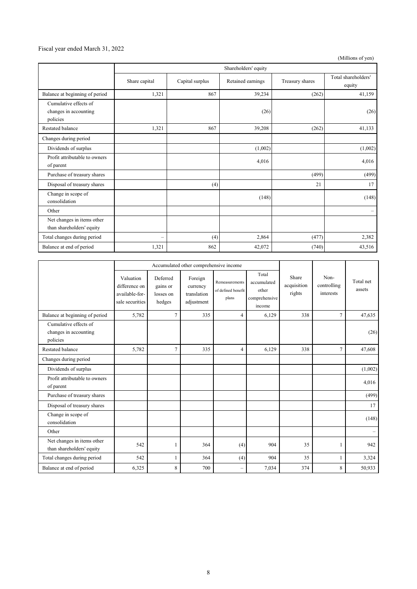### Fiscal year ended March 31, 2022

(Millions of yen)

|                                                         | Shareholders' equity     |                 |                   |                 |                               |
|---------------------------------------------------------|--------------------------|-----------------|-------------------|-----------------|-------------------------------|
|                                                         | Share capital            | Capital surplus | Retained earnings | Treasury shares | Total shareholders'<br>equity |
| Balance at beginning of period                          | 1,321                    | 867             | 39,234            | (262)           | 41,159                        |
| Cumulative effects of                                   |                          |                 |                   |                 |                               |
| changes in accounting                                   |                          |                 | (26)              |                 | (26)                          |
| policies                                                |                          |                 |                   |                 |                               |
| Restated balance                                        | 1,321                    | 867             | 39,208            | (262)           | 41,133                        |
| Changes during period                                   |                          |                 |                   |                 |                               |
| Dividends of surplus                                    |                          |                 | (1,002)           |                 | (1,002)                       |
| Profit attributable to owners<br>of parent              |                          |                 | 4,016             |                 | 4,016                         |
| Purchase of treasury shares                             |                          |                 |                   | (499)           | (499)                         |
| Disposal of treasury shares                             |                          | (4)             |                   | 21              | 17                            |
| Change in scope of<br>consolidation                     |                          |                 | (148)             |                 | (148)                         |
| Other                                                   |                          |                 |                   |                 | $\qquad \qquad -$             |
| Net changes in items other<br>than shareholders' equity |                          |                 |                   |                 |                               |
| Total changes during period                             | $\overline{\phantom{0}}$ | (4)             | 2,864             | (477)           | 2,382                         |
| Balance at end of period                                | 1,321                    | 862             | 42,072            | (740)           | 43,516                        |

|                                                            | Accumulated other comprehensive income                          |                                             |                                                  |                                               |                                                          |                                |                                  |                     |
|------------------------------------------------------------|-----------------------------------------------------------------|---------------------------------------------|--------------------------------------------------|-----------------------------------------------|----------------------------------------------------------|--------------------------------|----------------------------------|---------------------|
|                                                            | Valuation<br>difference on<br>available-for-<br>sale securities | Deferred<br>gains or<br>losses on<br>hedges | Foreign<br>currency<br>translation<br>adjustment | Remeasurements<br>of defined benefit<br>plans | Total<br>accumulated<br>other<br>comprehensive<br>income | Share<br>acquisition<br>rights | Non-<br>controlling<br>interests | Total net<br>assets |
| Balance at beginning of period                             | 5,782                                                           | $\overline{7}$                              | 335                                              | 4                                             | 6,129                                                    | 338                            | 7                                | 47,635              |
| Cumulative effects of<br>changes in accounting<br>policies |                                                                 |                                             |                                                  |                                               |                                                          |                                |                                  | (26)                |
| <b>Restated balance</b>                                    | 5,782                                                           | $\overline{7}$                              | 335                                              | 4                                             | 6,129                                                    | 338                            | $\overline{7}$                   | 47,608              |
| Changes during period                                      |                                                                 |                                             |                                                  |                                               |                                                          |                                |                                  |                     |
| Dividends of surplus                                       |                                                                 |                                             |                                                  |                                               |                                                          |                                |                                  | (1,002)             |
| Profit attributable to owners<br>of parent                 |                                                                 |                                             |                                                  |                                               |                                                          |                                |                                  | 4,016               |
| Purchase of treasury shares                                |                                                                 |                                             |                                                  |                                               |                                                          |                                |                                  | (499)               |
| Disposal of treasury shares                                |                                                                 |                                             |                                                  |                                               |                                                          |                                |                                  | 17                  |
| Change in scope of<br>consolidation                        |                                                                 |                                             |                                                  |                                               |                                                          |                                |                                  | (148)               |
| Other                                                      |                                                                 |                                             |                                                  |                                               |                                                          |                                |                                  |                     |
| Net changes in items other<br>than shareholders' equity    | 542                                                             | 1                                           | 364                                              | (4)                                           | 904                                                      | 35                             | 1                                | 942                 |
| Total changes during period                                | 542                                                             | 1                                           | 364                                              | (4)                                           | 904                                                      | 35                             | $\mathbf{1}$                     | 3,324               |
| Balance at end of period                                   | 6,325                                                           | 8                                           | 700                                              | $\overline{\phantom{a}}$                      | 7,034                                                    | 374                            | 8                                | 50,933              |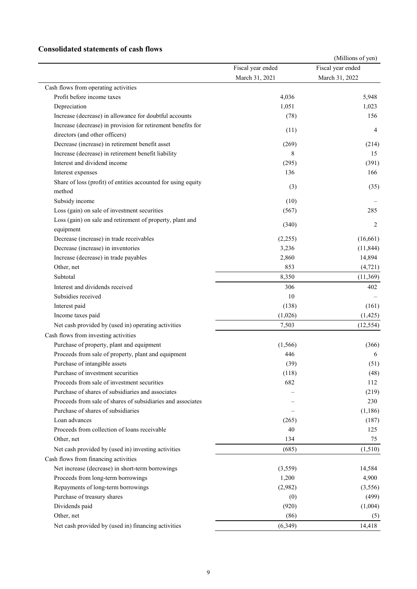### **Consolidated statements of cash flows**

|                                                               |                   | (Millions of yen) |
|---------------------------------------------------------------|-------------------|-------------------|
|                                                               | Fiscal year ended | Fiscal year ended |
|                                                               | March 31, 2021    | March 31, 2022    |
| Cash flows from operating activities                          |                   |                   |
| Profit before income taxes                                    | 4,036             | 5,948             |
| Depreciation                                                  | 1,051             | 1,023             |
| Increase (decrease) in allowance for doubtful accounts        | (78)              | 156               |
| Increase (decrease) in provision for retirement benefits for  | (11)              | 4                 |
| directors (and other officers)                                |                   |                   |
| Decrease (increase) in retirement benefit asset               | (269)             | (214)             |
| Increase (decrease) in retirement benefit liability           | 8                 | 15                |
| Interest and dividend income                                  | (295)             | (391)             |
| Interest expenses                                             | 136               | 166               |
| Share of loss (profit) of entities accounted for using equity |                   |                   |
| method                                                        | (3)               | (35)              |
| Subsidy income                                                | (10)              |                   |
| Loss (gain) on sale of investment securities                  | (567)             | 285               |
| Loss (gain) on sale and retirement of property, plant and     |                   |                   |
| equipment                                                     | (340)             | 2                 |
| Decrease (increase) in trade receivables                      | (2,255)           | (16,661)          |
| Decrease (increase) in inventories                            | 3,236             | (11, 844)         |
| Increase (decrease) in trade payables                         | 2,860             | 14,894            |
| Other, net                                                    | 853               | (4, 721)          |
| Subtotal                                                      | 8,350             | (11,369)          |
| Interest and dividends received                               | 306               | 402               |
| Subsidies received                                            | 10                |                   |
| Interest paid                                                 | (138)             | (161)             |
| Income taxes paid                                             | (1,026)           | (1, 425)          |
| Net cash provided by (used in) operating activities           | 7,503             | (12, 554)         |
| Cash flows from investing activities                          |                   |                   |
| Purchase of property, plant and equipment                     | (1, 566)          | (366)             |
| Proceeds from sale of property, plant and equipment           | 446               | 6                 |
| Purchase of intangible assets                                 | (39)              | (51)              |
| Purchase of investment securities                             | (118)             | (48)              |
| Proceeds from sale of investment securities                   | 682               | 112               |
| Purchase of shares of subsidiaries and associates             |                   | (219)             |
| Proceeds from sale of shares of subsidiaries and associates   |                   | 230               |
| Purchase of shares of subsidiaries                            |                   | (1,186)           |
| Loan advances                                                 |                   |                   |
| Proceeds from collection of loans receivable                  | (265)<br>40       | (187)<br>125      |
| Other, net                                                    | 134               | 75                |
|                                                               |                   |                   |
| Net cash provided by (used in) investing activities           | (685)             | (1,510)           |
| Cash flows from financing activities                          |                   |                   |
| Net increase (decrease) in short-term borrowings              | (3,559)           | 14,584            |
| Proceeds from long-term borrowings                            | 1,200             | 4,900             |
| Repayments of long-term borrowings                            | (2,982)           | (3,556)           |
| Purchase of treasury shares                                   | (0)               | (499)             |
| Dividends paid                                                | (920)             | (1,004)           |
| Other, net                                                    | (86)              | (5)               |
| Net cash provided by (used in) financing activities           | (6,349)           | 14,418            |